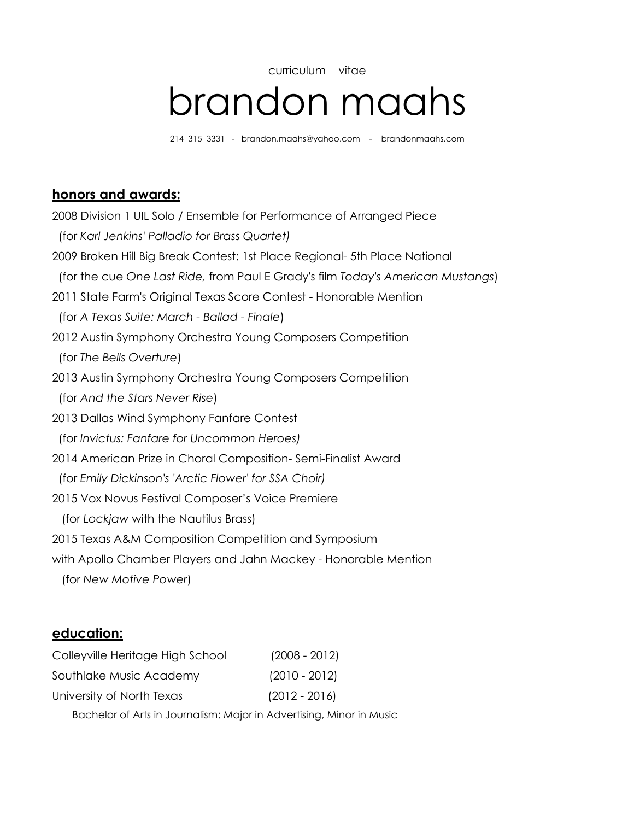# curriculum vitae brandon maahs

214 315 3331 - brandon.maahs@yahoo.com - brandonmaahs.com

## **honors and awards:**

2008 Division 1 UIL Solo / Ensemble for Performance of Arranged Piece (for *Karl Jenkins' Palladio for Brass Quartet)* 2009 Broken Hill Big Break Contest: 1st Place Regional- 5th Place National (for the cue *One Last Ride,* from Paul E Grady's film *Today's American Mustangs*) 2011 State Farm's Original Texas Score Contest - Honorable Mention (for *A Texas Suite: March - Ballad - Finale*) 2012 Austin Symphony Orchestra Young Composers Competition (for *The Bells Overture*) 2013 Austin Symphony Orchestra Young Composers Competition (for *And the Stars Never Rise*) 2013 Dallas Wind Symphony Fanfare Contest (for *Invictus: Fanfare for Uncommon Heroes)* 2014 American Prize in Choral Composition- Semi-Finalist Award (for *Emily Dickinson's 'Arctic Flower' for SSA Choir)* 2015 Vox Novus Festival Composer's Voice Premiere (for *Lockjaw* with the Nautilus Brass) 2015 Texas A&M Composition Competition and Symposium with Apollo Chamber Players and Jahn Mackey - Honorable Mention (for *New Motive Power*)

## **education:**

| Colleyville Heritage High School | $(2008 - 2012)$ |  |
|----------------------------------|-----------------|--|
| Southlake Music Academy          | $(2010 - 2012)$ |  |
| University of North Texas        | $(2012 - 2016)$ |  |
|                                  |                 |  |

Bachelor of Arts in Journalism: Major in Advertising, Minor in Music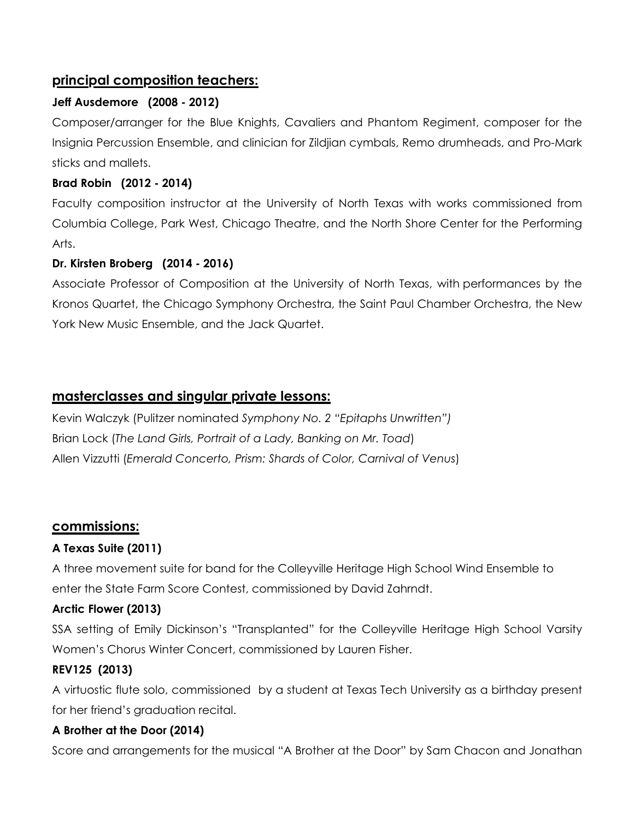# **principal composition teachers:**

## **Jeff Ausdemore (2008 - 2012)**

Composer/arranger for the Blue Knights, Cavaliers and Phantom Regiment, composer for the Insignia Percussion Ensemble, and clinician for Zildjian cymbals, Remo drumheads, and Pro-Mark sticks and mallets.

#### **Brad Robin (2012 - 2014)**

Faculty composition instructor at the University of North Texas with works commissioned from Columbia College, Park West, Chicago Theatre, and the North Shore Center for the Performing Arts.

## **Dr. Kirsten Broberg (2014 - 2016)**

Associate Professor of Composition at the University of North Texas, with performances by the Kronos Quartet, the Chicago Symphony Orchestra, the Saint Paul Chamber Orchestra, the New York New Music Ensemble, and the Jack Quartet.

## **masterclasses and singular private lessons:**

Kevin Walczyk (Pulitzer nominated *Symphony No. 2 "Epitaphs Unwritten")* Brian Lock (*The Land Girls, Portrait of a Lady, Banking on Mr. Toad*) Allen Vizzutti (*Emerald Concerto, Prism: Shards of Color, Carnival of Venus*)

## **commissions:**

## **A Texas Suite (2011)**

A three movement suite for band for the Colleyville Heritage High School Wind Ensemble to enter the State Farm Score Contest, commissioned by David Zahrndt.

## **Arctic Flower (2013)**

SSA setting of Emily Dickinson's "Transplanted" for the Colleyville Heritage High School Varsity Women's Chorus Winter Concert, commissioned by Lauren Fisher.

#### **REV125 (2013)**

A virtuostic flute solo, commissioned by a student at Texas Tech University as a birthday present for her friend's graduation recital.

#### **A Brother at the Door (2014)**

Score and arrangements for the musical "A Brother at the Door" by Sam Chacon and Jonathan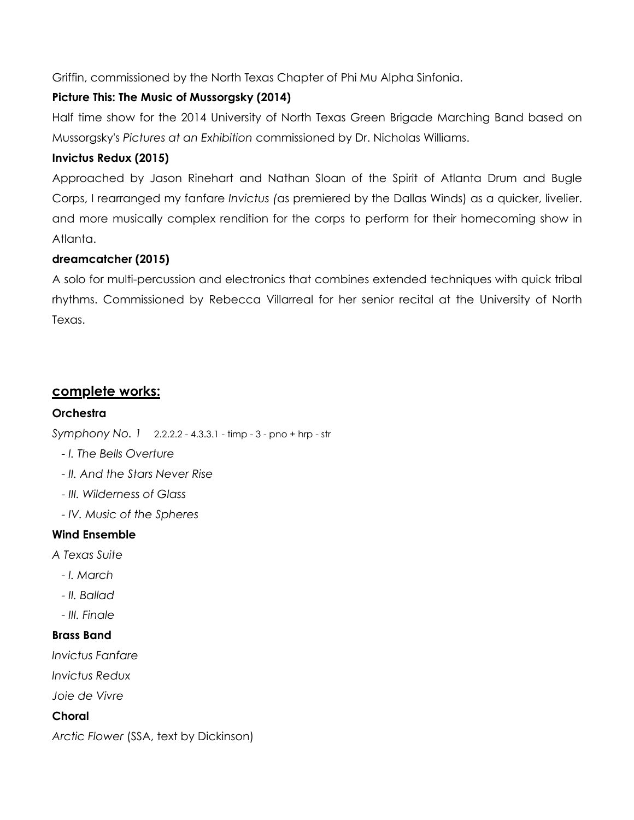Griffin, commissioned by the North Texas Chapter of Phi Mu Alpha Sinfonia.

# **Picture This: The Music of Mussorgsky (2014)**

Half time show for the 2014 University of North Texas Green Brigade Marching Band based on Mussorgsky's *Pictures at an Exhibition* commissioned by Dr. Nicholas Williams.

## **Invictus Redux (2015)**

Approached by Jason Rinehart and Nathan Sloan of the Spirit of Atlanta Drum and Bugle Corps, I rearranged my fanfare *Invictus (*as premiered by the Dallas Winds) as a quicker, livelier. and more musically complex rendition for the corps to perform for their homecoming show in Atlanta.

## **dreamcatcher (2015)**

A solo for multi-percussion and electronics that combines extended techniques with quick tribal rhythms. Commissioned by Rebecca Villarreal for her senior recital at the University of North Texas.

# **complete works:**

## **Orchestra**

*Symphony No. 1* 2.2.2.2 - 4.3.3.1 - timp - 3 - pno + hrp - str

- *I. The Bells Overture*
- *II. And the Stars Never Rise*
- *III. Wilderness of Glass*
- *IV. Music of the Spheres*

## **Wind Ensemble**

*A Texas Suite*

- *I. March*
- *II. Ballad*
- *III. Finale*

#### **Brass Band**

*Invictus Fanfare*

*Invictus Redux*

*Joie de Vivre*

## **Choral**

*Arctic Flower* (SSA, text by Dickinson)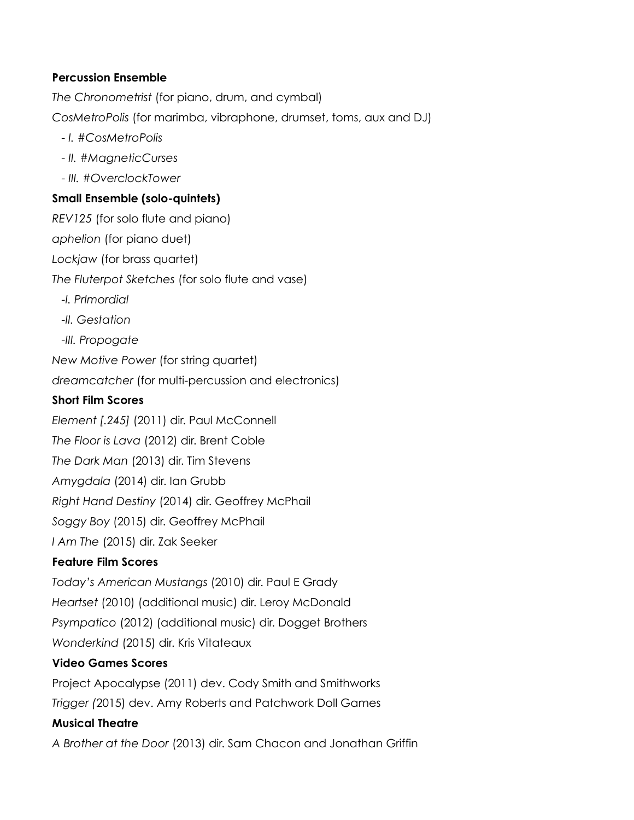#### **Percussion Ensemble**

*The Chronometrist* (for piano, drum, and cymbal) *CosMetroPolis* (for marimba, vibraphone, drumset, toms, aux and DJ)

- *I. #CosMetroPolis*
- *II. #MagneticCurses*
- *III. #OverclockTower*

#### **Small Ensemble (solo-quintets)**

*REV125* (for solo flute and piano) *aphelion* (for piano duet) *Lockjaw* (for brass quartet) *The Fluterpot Sketches* (for solo flute and vase) *-I. PrImordial -II. Gestation -III. Propogate New Motive Power* (for string quartet) *dreamcatcher* (for multi-percussion and electronics) **Short Film Scores** *Element [.245]* (2011) dir. Paul McConnell *The Floor is Lava* (2012) dir. Brent Coble *The Dark Man* (2013) dir. Tim Stevens

*Amygdala* (2014) dir. Ian Grubb

*Right Hand Destiny* (2014) dir. Geoffrey McPhail

*Soggy Boy* (2015) dir. Geoffrey McPhail

*I Am The* (2015) dir. Zak Seeker

## **Feature Film Scores**

*Today's American Mustangs* (2010) dir. Paul E Grady

*Heartset* (2010) (additional music) dir. Leroy McDonald

*Psympatico* (2012) (additional music) dir. Dogget Brothers

*Wonderkind* (2015) dir. Kris Vitateaux

## **Video Games Scores**

Project Apocalypse (2011) dev. Cody Smith and Smithworks

*Trigger (*2015) dev. Amy Roberts and Patchwork Doll Games

## **Musical Theatre**

*A Brother at the Door* (2013) dir. Sam Chacon and Jonathan Griffin